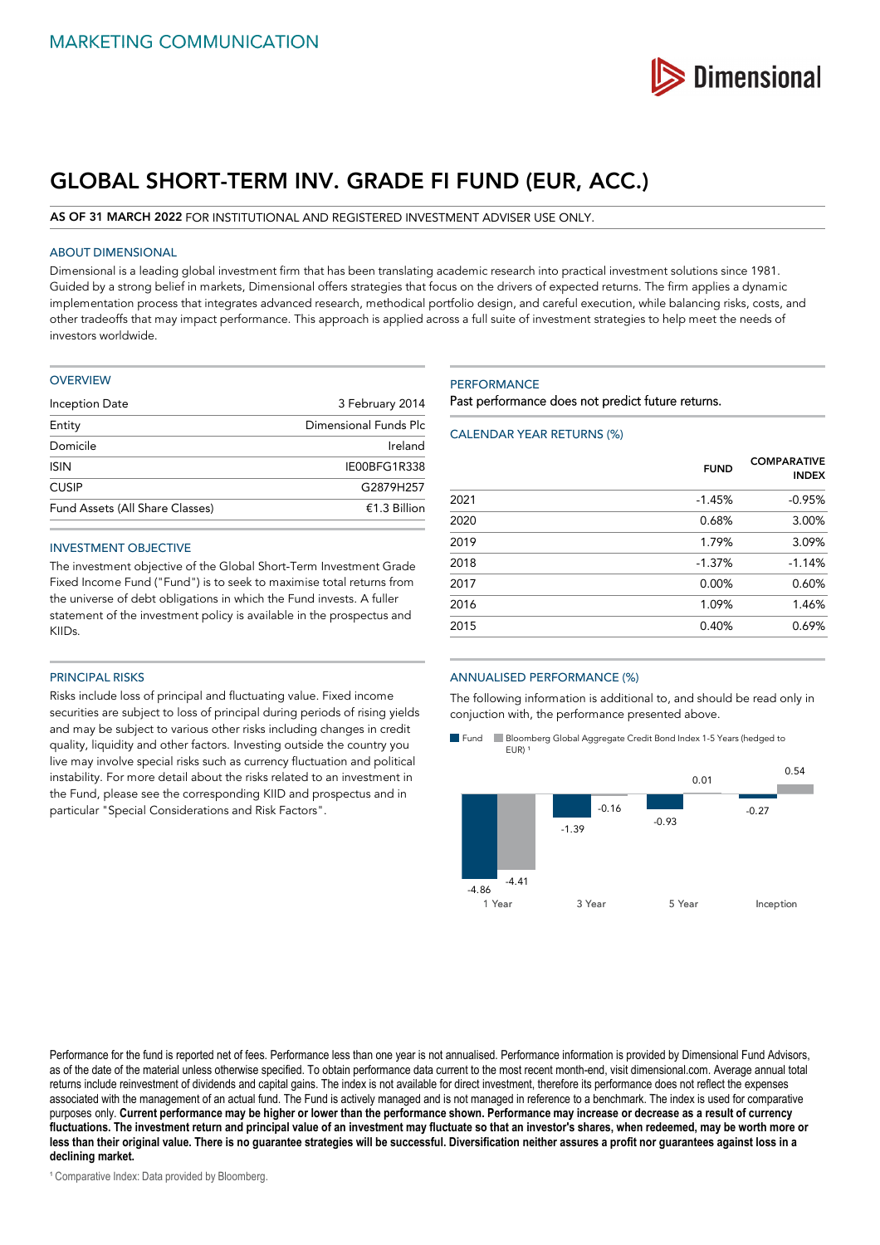

# **GLOBAL SHORT-TERM INV. GRADE FI FUND (EUR, ACC.)**

**AS OF 31 MARCH 2022** FOR INSTITUTIONAL AND REGISTERED INVESTMENT ADVISER USE ONLY.

## ABOUT DIMENSIONAL

Dimensional is a leading global investment firm that has been translating academic research into practical investment solutions since 1981. Guided by a strong belief in markets, Dimensional offers strategies that focus on the drivers of expected returns. The firm applies a dynamic implementation process that integrates advanced research, methodical portfolio design, and careful execution, while balancing risks, costs, and other tradeoffs that may impact performance. This approach is applied across a full suite of investment strategies to help meet the needs of investors worldwide.

#### **OVERVIEW**

| Inception Date                  | 3 February 2014       |
|---------------------------------|-----------------------|
| Entity                          | Dimensional Funds Plc |
| Domicile                        | Ireland               |
| <b>ISIN</b>                     | IE00BFG1R338          |
| <b>CUSIP</b>                    | G2879H257             |
| Fund Assets (All Share Classes) | €1.3 Billion          |

#### INVESTMENT OBJECTIVE

The investment objective of the Global Short-Term Investment Grade Fixed Income Fund ("Fund") is to seek to maximise total returns from the universe of debt obligations in which the Fund invests. A fuller statement of the investment policy is available in the prospectus and KIIDs.

## PRINCIPAL RISKS

Risks include loss of principal and fluctuating value. Fixed income securities are subject to loss of principal during periods of rising yields and may be subject to various other risks including changes in credit quality, liquidity and other factors. Investing outside the country you live may involve special risks such as currency fluctuation and political instability. For more detail about the risks related to an investment in the Fund, please see the corresponding KIID and prospectus and in particular "Special Considerations and Risk Factors".

#### **PERFORMANCE**

Past performance does not predict future returns.

#### CALENDAR YEAR RETURNS (%)

|      | <b>FUND</b> | <b>COMPARATIVE</b><br><b>INDEX</b> |
|------|-------------|------------------------------------|
| 2021 | $-1.45%$    | $-0.95%$                           |
| 2020 | 0.68%       | 3.00%                              |
| 2019 | 1.79%       | 3.09%                              |
| 2018 | $-1.37%$    | $-1.14%$                           |
| 2017 | 0.00%       | 0.60%                              |
| 2016 | 1.09%       | 1.46%                              |
| 2015 | 0.40%       | 0.69%                              |
|      |             |                                    |

## ANNUALISED PERFORMANCE (%)

The following information is additional to, and should be read only in conjuction with, the performance presented above.

Fund Bloomberg Global Aggregate Credit Bond Index 1-5 Years (hedged to  $EUR$ )



Performance for the fund is reported net of fees. Performance less than one year is not annualised. Performance information is provided by Dimensional Fund Advisors, as of the date of the material unless otherwise specified. To obtain performance data current to the most recent month-end, visit dimensional.com. Average annual total returns include reinvestment of dividends and capital gains. The index is not available for direct investment, therefore its performance does not reflect the expenses associated with the management of an actual fund. The Fund is actively managed and is not managed in reference to a benchmark. The index is used for comparative purposes only. **Current performance may be higher or lower than the performance shown. Performance may increase or decrease as a result of currency fluctuations. The investment return and principal value of an investment may fluctuate so that an investor's shares, when redeemed, may be worth more or less than their original value. There is no guarantee strategies will be successful. Diversification neither assures a profit nor guarantees against loss in a declining market.**

<sup>1</sup> Comparative Index: Data provided by Bloomberg.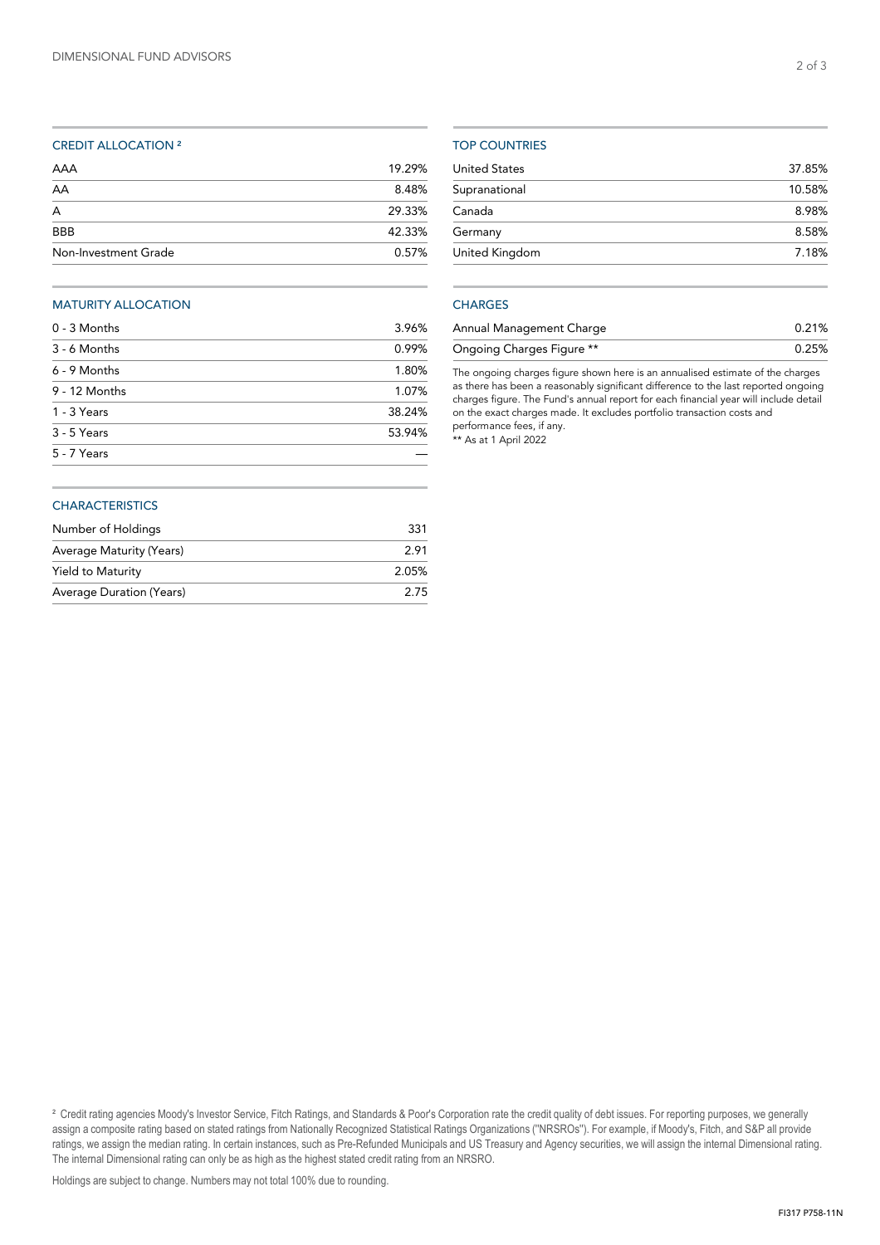#### CREDIT ALLOCATION ²

| Non-Investment Grade | 0.57%  |
|----------------------|--------|
| <b>BBB</b>           | 42.33% |
| A                    | 29.33% |
| AA                   | 8.48%  |
| AAA                  | 19.29% |

#### MATURITY ALLOCATION

| $0 - 3$ Months | 3.96%  |
|----------------|--------|
| 3 - 6 Months   | 0.99%  |
| 6 - 9 Months   | 1.80%  |
| 9 - 12 Months  | 1.07%  |
| 1 - 3 Years    | 38.24% |
| 3 - 5 Years    | 53.94% |
| 5 - 7 Years    |        |
|                |        |

#### TOP COUNTRIES

| <b>United States</b> | 37.85% |
|----------------------|--------|
| Supranational        | 10.58% |
| Canada               | 8.98%  |
| Germany              | 8.58%  |
| United Kingdom       | 7.18%  |
|                      |        |

# **CHARGES**

| Annual Management Charge  | 0.21% |
|---------------------------|-------|
| Ongoing Charges Figure ** | 0.25% |

The ongoing charges figure shown here is an annualised estimate of the charges as there has been a reasonably significant difference to the last reported ongoing charges figure. The Fund's annual report for each financial year will include detail on the exact charges made. It excludes portfolio transaction costs and performance fees, if any.

\*\* As at 1 April 2022

#### **CHARACTERISTICS**

| Number of Holdings       | 331   |
|--------------------------|-------|
| Average Maturity (Years) | 2.91  |
| Yield to Maturity        | 2.05% |
| Average Duration (Years) | 2.75  |

<sup>2</sup> Credit rating agencies Moody's Investor Service, Fitch Ratings, and Standards & Poor's Corporation rate the credit quality of debt issues. For reporting purposes, we generally assign a composite rating based on stated ratings from Nationally Recognized Statistical Ratings Organizations (''NRSROs''). For example, if Moody's, Fitch, and S&P all provide ratings, we assign the median rating. In certain instances, such as Pre-Refunded Municipals and US Treasury and Agency securities, we will assign the internal Dimensional rating. The internal Dimensional rating can only be as high as the highest stated credit rating from an NRSRO.

2 of 3